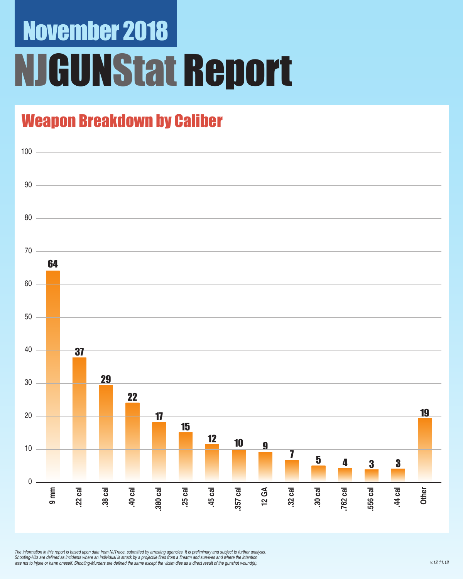# November 2018 **IGUNStat Report**

### Weapon Breakdown by Caliber



*The information in this report is based upon data from NJTrace, submitted by arresting agencies. It is preliminary and subject to further analysis.*  Shooting-Hits are defined as incidents where an individual is struck by a projectile fired from a firearm and survives and where the intention was not to injure or harm oneself. Shooting-Murders are defined the same except the victim dies as a direct result of the gunshot wound(s).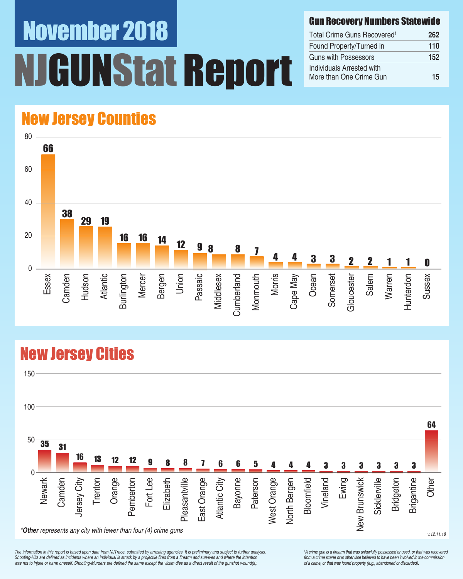# November 2018 UNStat Report

#### Gun Recovery Numbers Statewide

| Total Crime Guns Recovered <sup>1</sup>              | 262 |
|------------------------------------------------------|-----|
| Found Property/Turned in                             | 110 |
| Guns with Possessors                                 | 152 |
| Individuals Arrested with<br>More than One Crime Gun | 15  |

### New Jersey Counties



### New Jersey Cities



*The information in this report is based upon data from NJTrace, submitted by arresting agencies. It is preliminary and subject to further analysis.*  Shooting-Hits are defined as incidents where an individual is struck by a projectile fired from a firearm and survives and where the intention was not to injure or harm oneself. Shooting-Murders are defined the same except the victim dies as a direct result of the gunshot wound(s).

<sup>1</sup>A crime gun is a firearm that was unlawfully possessed or used, or that was recovered from a crime scene or is otherwise believed to have been involved in the commission *of a crime, or that was found property (e.g., abandoned or discarded).*